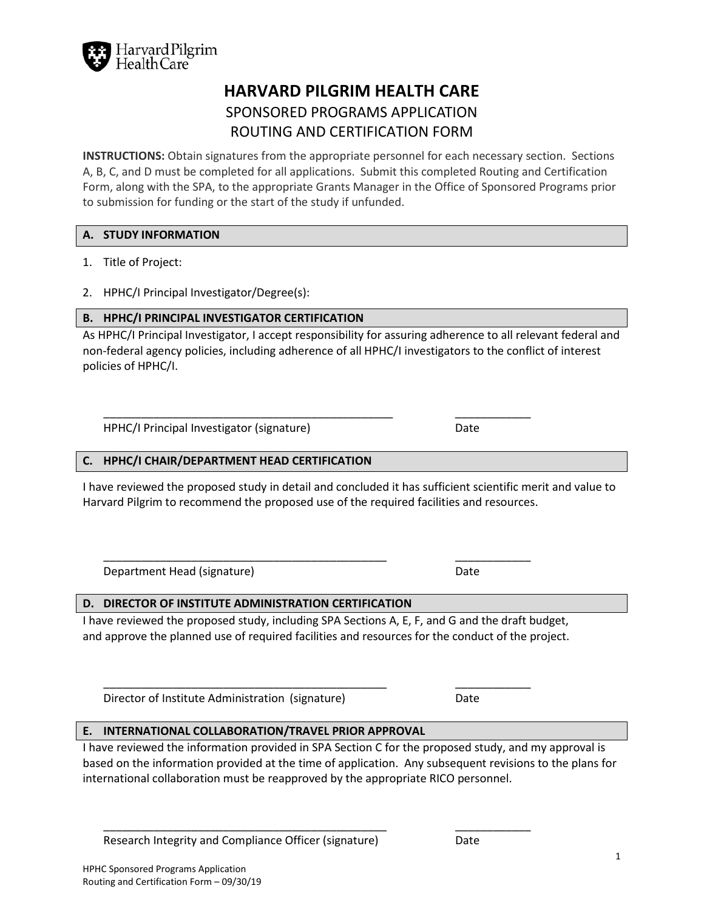

# **HARVARD PILGRIM HEALTH CARE** SPONSORED PROGRAMS APPLICATION ROUTING AND CERTIFICATION FORM

**INSTRUCTIONS:** Obtain signatures from the appropriate personnel for each necessary section. Sections A, B, C, and D must be completed for all applications. Submit this completed Routing and Certification Form, along with the SPA, to the appropriate Grants Manager in the Office of Sponsored Programs prior to submission for funding or the start of the study if unfunded.

#### **A. STUDY INFORMATION**

- 1. Title of Project:
- 2. HPHC/I Principal Investigator/Degree(s):

#### **B. HPHC/I PRINCIPAL INVESTIGATOR CERTIFICATION**

As HPHC/I Principal Investigator, I accept responsibility for assuring adherence to all relevant federal and non-federal agency policies, including adherence of all HPHC/I investigators to the conflict of interest policies of HPHC/I.

\_\_\_\_\_\_\_\_\_\_\_\_\_\_\_\_\_\_\_\_\_\_\_\_\_\_\_\_\_\_\_\_\_\_\_\_\_\_\_\_\_\_\_\_\_\_ \_\_\_\_\_\_\_\_\_\_\_\_

HPHC/I Principal Investigator (signature) Date

#### **C. HPHC/I CHAIR/DEPARTMENT HEAD CERTIFICATION**

I have reviewed the proposed study in detail and concluded it has sufficient scientific merit and value to Harvard Pilgrim to recommend the proposed use of the required facilities and resources.

Department Head (signature) and the Date of Date of Date of Date of Date of Date of Date of Date of Date of Date of Date of Date of Date of Date of Date of Date of Date of Date of Date of Date of Date of Date of Date of Da

### **D. DIRECTOR OF INSTITUTE ADMINISTRATION CERTIFICATION**

I have reviewed the proposed study, including SPA Sections A, E, F, and G and the draft budget, and approve the planned use of required facilities and resources for the conduct of the project.

Director of Institute Administration (signature) Date

### **E. INTERNATIONAL COLLABORATION/TRAVEL PRIOR APPROVAL**

I have reviewed the information provided in SPA Section C for the proposed study, and my approval is based on the information provided at the time of application. Any subsequent revisions to the plans for international collaboration must be reapproved by the appropriate RICO personnel.

\_\_\_\_\_\_\_\_\_\_\_\_\_\_\_\_\_\_\_\_\_\_\_\_\_\_\_\_\_\_\_\_\_\_\_\_\_\_\_\_\_\_\_\_\_ \_\_\_\_\_\_\_\_\_\_\_\_

Research Integrity and Compliance Officer (signature) Date

\_\_\_\_\_\_\_\_\_\_\_\_\_\_\_\_\_\_\_\_\_\_\_\_\_\_\_\_\_\_\_\_\_\_\_\_\_\_\_\_\_\_\_\_\_ \_\_\_\_\_\_\_\_\_\_\_\_

\_\_\_\_\_\_\_\_\_\_\_\_\_\_\_\_\_\_\_\_\_\_\_\_\_\_\_\_\_\_\_\_\_\_\_\_\_\_\_\_\_\_\_\_\_ \_\_\_\_\_\_\_\_\_\_\_\_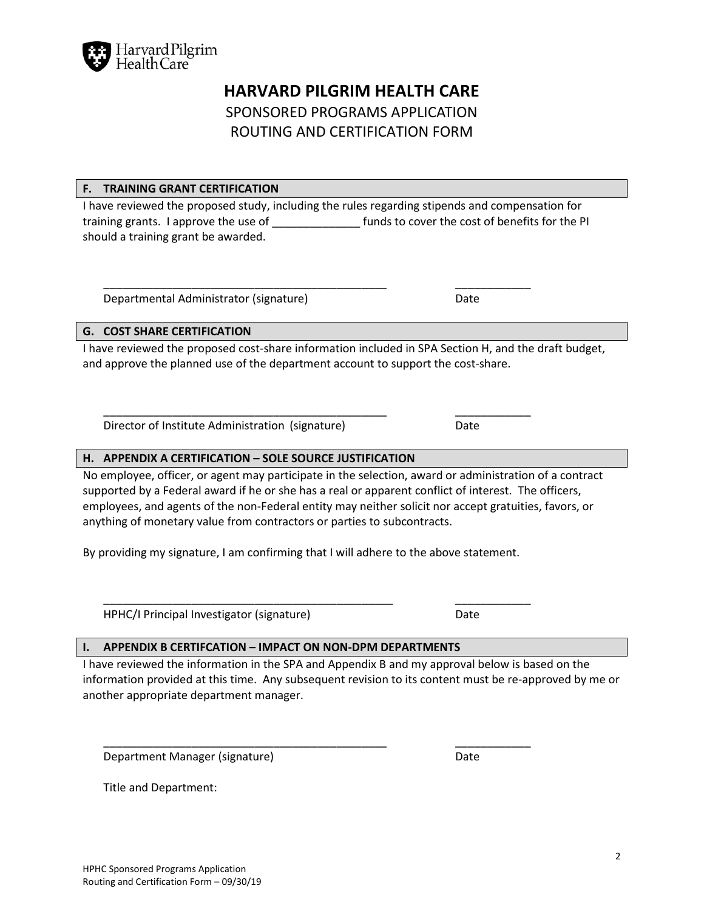

## **HARVARD PILGRIM HEALTH CARE**

## SPONSORED PROGRAMS APPLICATION ROUTING AND CERTIFICATION FORM

### **F. TRAINING GRANT CERTIFICATION**

I have reviewed the proposed study, including the rules regarding stipends and compensation for training grants. I approve the use of **the COV** funds to cover the cost of benefits for the PI should a training grant be awarded.

\_\_\_\_\_\_\_\_\_\_\_\_\_\_\_\_\_\_\_\_\_\_\_\_\_\_\_\_\_\_\_\_\_\_\_\_\_\_\_\_\_\_\_\_\_ \_\_\_\_\_\_\_\_\_\_\_\_

\_\_\_\_\_\_\_\_\_\_\_\_\_\_\_\_\_\_\_\_\_\_\_\_\_\_\_\_\_\_\_\_\_\_\_\_\_\_\_\_\_\_\_\_\_ \_\_\_\_\_\_\_\_\_\_\_\_

Departmental Administrator (signature) Departmental Administrator (signature)

### **G. COST SHARE CERTIFICATION**

I have reviewed the proposed cost-share information included in SPA Section H, and the draft budget, and approve the planned use of the department account to support the cost-share.

Director of Institute Administration (signature) Date

### **H. APPENDIX A CERTIFICATION – SOLE SOURCE JUSTIFICATION**

No employee, officer, or agent may participate in the selection, award or administration of a contract supported by a Federal award if he or she has a real or apparent conflict of interest. The officers, employees, and agents of the non-Federal entity may neither solicit nor accept gratuities, favors, or anything of monetary value from contractors or parties to subcontracts.

By providing my signature, I am confirming that I will adhere to the above statement.

HPHC/I Principal Investigator (signature) Date

\_\_\_\_\_\_\_\_\_\_\_\_\_\_\_\_\_\_\_\_\_\_\_\_\_\_\_\_\_\_\_\_\_\_\_\_\_\_\_\_\_\_\_\_\_\_ \_\_\_\_\_\_\_\_\_\_\_\_

### **I. APPENDIX B CERTIFCATION – IMPACT ON NON-DPM DEPARTMENTS**

I have reviewed the information in the SPA and Appendix B and my approval below is based on the information provided at this time. Any subsequent revision to its content must be re-approved by me or another appropriate department manager.

\_\_\_\_\_\_\_\_\_\_\_\_\_\_\_\_\_\_\_\_\_\_\_\_\_\_\_\_\_\_\_\_\_\_\_\_\_\_\_\_\_\_\_\_\_ \_\_\_\_\_\_\_\_\_\_\_\_

Department Manager (signature) and the control of the Date

Title and Department: